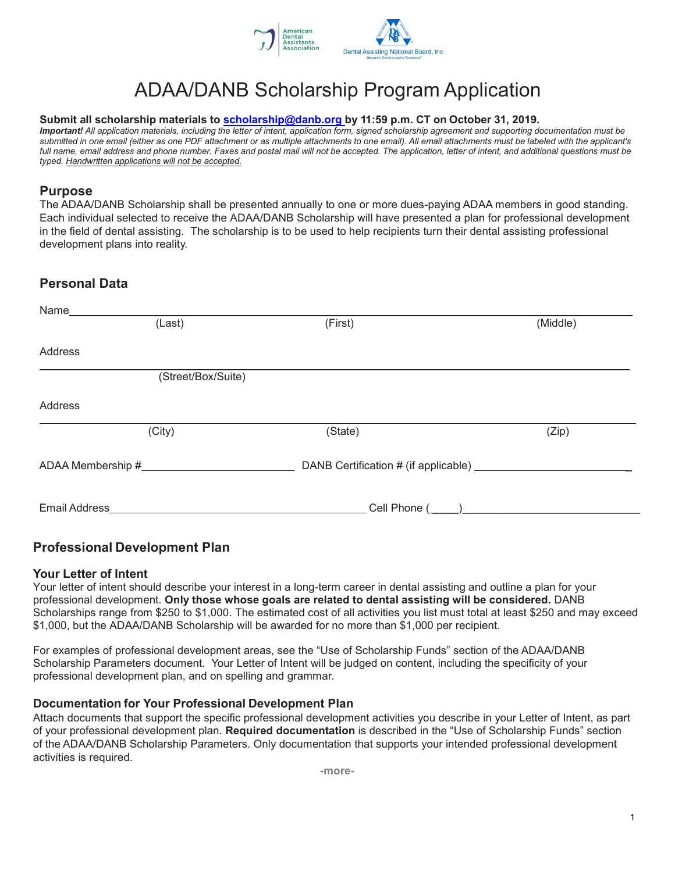

# ADAA/DANB Scholarship Program Application

#### **Submit all scholarship materials to [scholarship@danb.org](mailto:scholarship@danb.org) by 11:59 p.m. CT on October 31, 2019.**

*Important! All application materials, including the letter of intent, application form, signed scholarship agreement and supporting documentation must be submitted in one email (either as one PDF attachment or as multiple attachments to one email). All email attachments must be labeled with the applicant's full name, email address and phone number. Faxes and postal mail will not be accepted. The application, letter of intent, and additional questions must be typed. Handwritten applications will not be accepted.*

### **Purpose**

The ADAA/DANB Scholarship shall be presented annually to one or more dues-paying ADAA members in good standing. Each individual selected to receive the ADAA/DANB Scholarship will have presented a plan for professional development in the field of dental assisting. The scholarship is to be used to help recipients turn their dental assisting professional development plans into reality.

## **Personal Data**

| Name                 |                    |                                                    |          |
|----------------------|--------------------|----------------------------------------------------|----------|
|                      | (Last)             | (First)                                            | (Middle) |
|                      |                    |                                                    |          |
| Address              |                    |                                                    |          |
|                      | (Street/Box/Suite) |                                                    |          |
| Address              |                    |                                                    |          |
|                      | (City)             | (State)                                            | (Zip)    |
|                      |                    | DANB Certification # (if applicable) _____________ |          |
| <b>Email Address</b> |                    | Cell Phone (                                       |          |

### **Professional Development Plan**

#### **Your Letter of Intent**

Your letter of intent should describe your interest in a long-term career in dental assisting and outline a plan for your professional development. **Only those whose goals are related to dental assisting will be considered.** DANB Scholarships range from \$250 to \$1,000. The estimated cost of all activities you list must total at least \$250 and may exceed \$1,000, but the ADAA/DANB Scholarship will be awarded for no more than \$1,000 per recipient.

For examples of professional development areas, see the "Use of Scholarship Funds" section of the ADAA/DANB Scholarship Parameters document. Your Letter of Intent will be judged on content, including the specificity of your professional development plan, and on spelling and grammar.

#### **Documentation for Your Professional Development Plan**

Attach documents that support the specific professional development activities you describe in your Letter of Intent, as part of your professional development plan. **Required documentation** is described in the "Use of Scholarship Funds" section of the ADAA/DANB Scholarship Parameters. Only documentation that supports your intended professional development activities is required.

**-more-**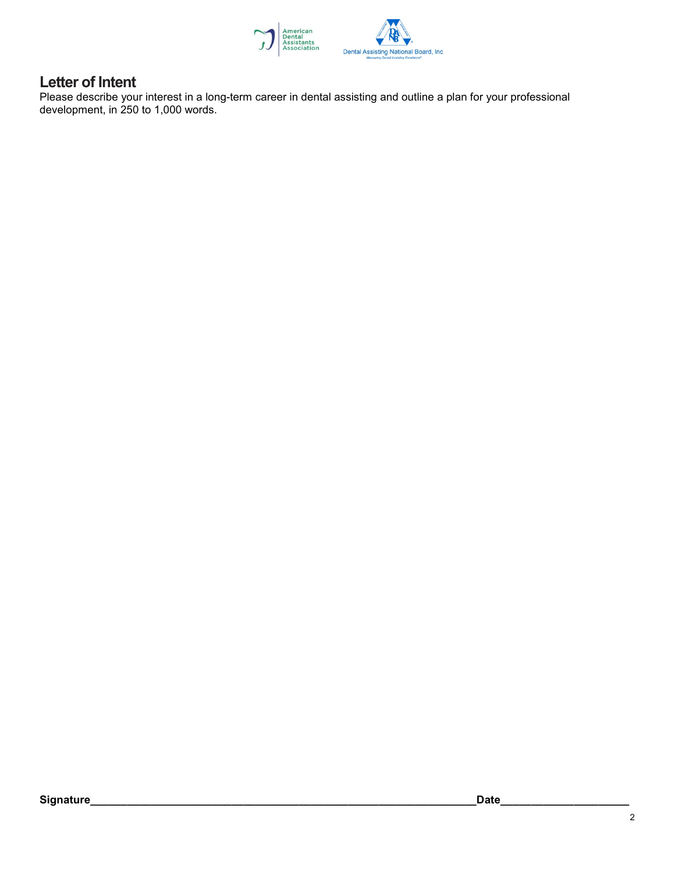

# **Letter of Intent**

Please describe your interest in a long-term career in dental assisting and outline a plan for your professional development, in 250 to 1,000 words.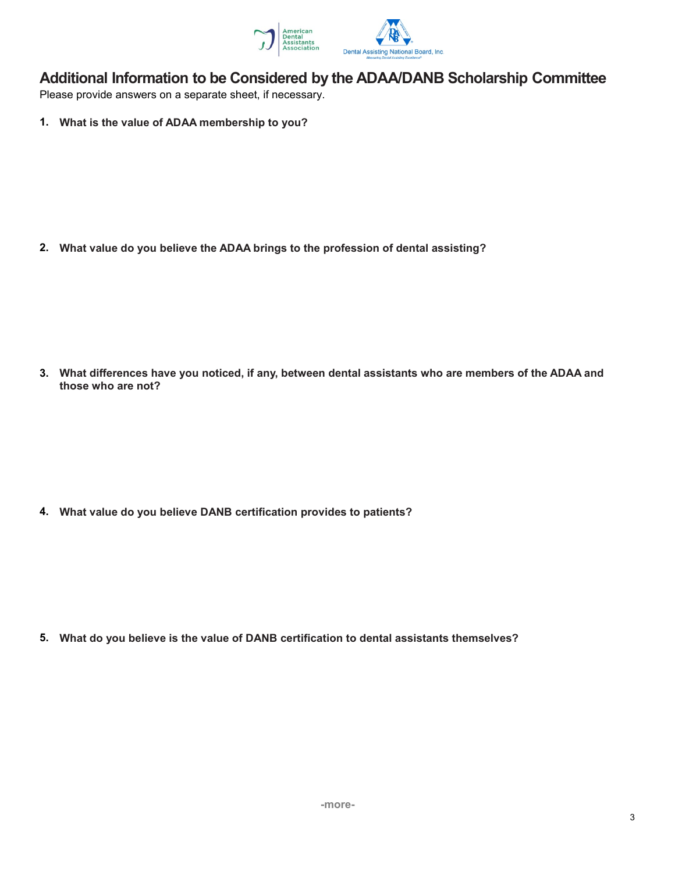

# Additional Information to be Considered by the ADAA/DANB Scholarship Committee

Please provide answers on a separate sheet, if necessary.

1. What is the value of ADAA membership to you?

2. What value do you believe the ADAA brings to the profession of dental assisting?

3. What differences have you noticed, if any, between dental assistants who are members of the ADAA and those who are not?

4. What value do you believe DANB certification provides to patients?

5. What do you believe is the value of DANB certification to dental assistants themselves?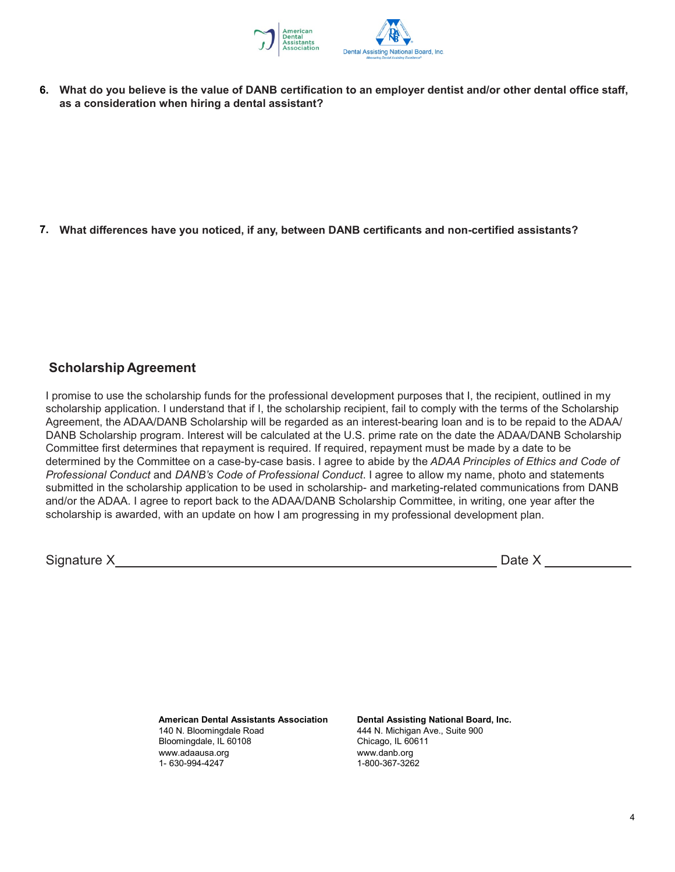

**6. What do you believe is the value of DANB certification to an employer dentist and/or other dental office staff, as a consideration when hiring a dental assistant?**

**7. What differences have you noticed, if any, between DANB certificants and non-certified assistants?**

# **Scholarship Agreement**

I promise to use the scholarship funds for the professional development purposes that I, the recipient, outlined in my scholarship application. I understand that if I, the scholarship recipient, fail to comply with the terms of the Scholarship Agreement, the ADAA/DANB Scholarship will be regarded as an interest-bearing loan and is to be repaid to the ADAA/ DANB Scholarship program. Interest will be calculated at the U.S. prime rate on the date the ADAA/DANB Scholarship Committee first determines that repayment is required. If required, repayment must be made by a date to be determined by the Committee on a case-by-case basis. I agree to abide by the *ADAA Principles of Ethics and Code of Professional Conduct* and *DANB's Code of Professional Conduct*. I agree to allow my name, photo and statements submitted in the scholarship application to be used in scholarship- and marketing-related communications from DANB and/or the ADAA. I agree to report back to the ADAA/DANB Scholarship Committee, in writing, one year after the scholarship is awarded, with an update on how I am progressing in my professional development plan.

Signature X Date X

**American Dental Assistants Association Dental Assisting National Board, Inc.** Bloomingdale, IL 60108 Chicago, IL 60611 www.adaausa.org www.danb.org 1- 630-994-4247

444 N. Michigan Ave., Suite 900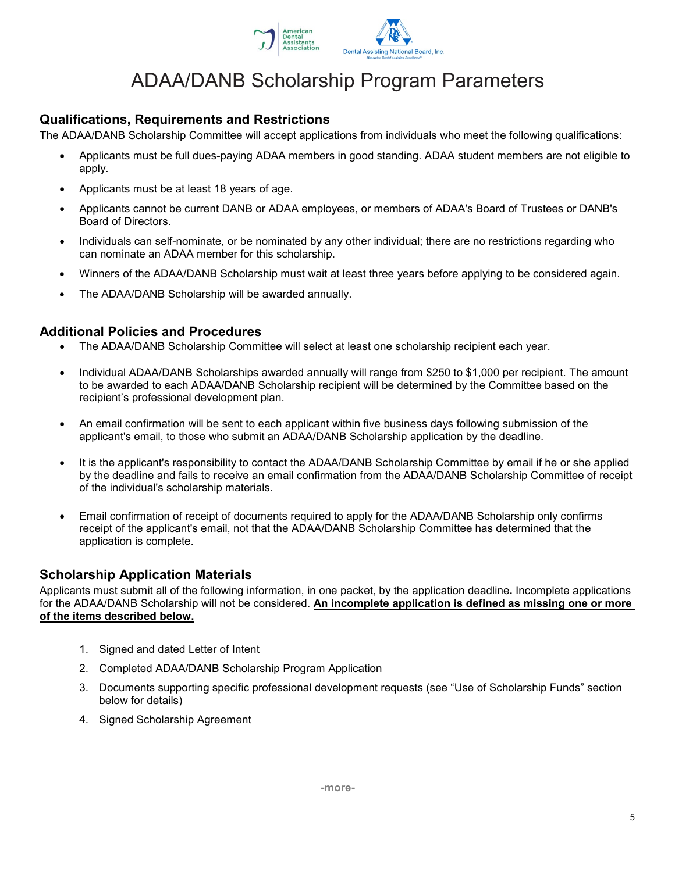

# ADAA/DANB Scholarship Program Parameters

## **Qualifications, Requirements and Restrictions**

The ADAA/DANB Scholarship Committee will accept applications from individuals who meet the following qualifications:

- Applicants must be full dues-paying ADAA members in good standing. ADAA student members are not eligible to apply.
- Applicants must be at least 18 years of age.
- Applicants cannot be current DANB or ADAA employees, or members of ADAA's Board of Trustees or DANB's Board of Directors.
- Individuals can self-nominate, or be nominated by any other individual; there are no restrictions regarding who can nominate an ADAA member for this scholarship.
- Winners of the ADAA/DANB Scholarship must wait at least three years before applying to be considered again.
- The ADAA/DANB Scholarship will be awarded annually.

#### **Additional Policies and Procedures**

- The ADAA/DANB Scholarship Committee will select at least one scholarship recipient each year.
- Individual ADAA/DANB Scholarships awarded annually will range from \$250 to \$1,000 per recipient. The amount to be awarded to each ADAA/DANB Scholarship recipient will be determined by the Committee based on the recipient's professional development plan.
- An email confirmation will be sent to each applicant within five business days following submission of the applicant's email, to those who submit an ADAA/DANB Scholarship application by the deadline.
- It is the applicant's responsibility to contact the ADAA/DANB Scholarship Committee by email if he or she applied by the deadline and fails to receive an email confirmation from the ADAA/DANB Scholarship Committee of receipt of the individual's scholarship materials.
- Email confirmation of receipt of documents required to apply for the ADAA/DANB Scholarship only confirms receipt of the applicant's email, not that the ADAA/DANB Scholarship Committee has determined that the application is complete.

### **Scholarship Application Materials**

Applicants must submit all of the following information, in one packet, by the application deadline**.** Incomplete applications for the ADAA/DANB Scholarship will not be considered. **An incomplete application is defined as missing one or more of the items described below.**

- 1. Signed and dated Letter of Intent
- 2. Completed ADAA/DANB Scholarship Program Application
- 3. Documents supporting specific professional development requests (see "Use of Scholarship Funds" section below for details)
- 4. Signed Scholarship Agreement